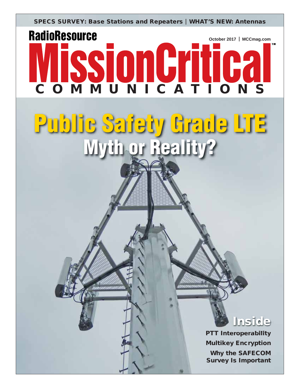**SPECS SURVEY: Base Stations and Repeaters WHAT'S NEW: Antennas**

## **RadioResource VISSIONGYTT02 October 2017 MCCmag.com**

# **Public Safety Grade LTE Myth or Reality?**



**TM**

**PTT Interoperability Multikey Encryption Why the SAFECOM Survey Is Important**

,,,,,,,,,,,,,,,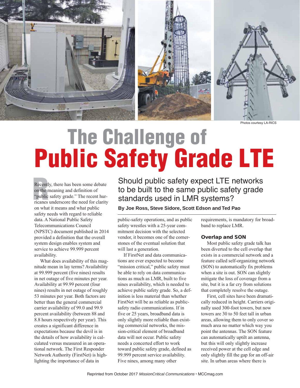

Photos courtesy LA-RICS

### **The Challenge of Public Safety Grade LTE**

Recentl<br>on the r<br>"public<br>ricanes" Recently, there has been some debate on the meaning and definition of "public safety grade." The recent hurricanes underscore the need for clarity on what it means and what public safety needs with regard to reliable data. A National Public Safety Telecommunications Council (NPSTC) document published in 2014 provided a definition that the overall system design enables system and service to achieve 99.999 percent availability.

 What does availability of this magnitude mean in lay terms? Availability at 99.999 percent (five nines) results in net outage of five minutes per year. Availability at 99.99 percent (four nines) results in net outage of roughly 53 minutes per year. Both factors are better than the general commercial carrier availability of 99.0 and 99.9 percent availability (between 88 and 8.8 hours respectively per year). This creates a significant difference in expectations because the devil is in the details of how availability is calculated versus measured in an operational network. The First Responder Network Authority (FirstNet) is highlighting the importance of data in

Should public safety expect LTE networks to be built to the same public safety grade standards used in LMR systems?

**By Joe Ross, Steve Sidore, Scott Edson and Ted Pao**

public-safety operations, and as public safety wrestles with a 25-year commitment decision with the selected vendor, it becomes one of the cornerstones of the eventual solution that will last a generation.

 If FirstNet and data communications are ever expected to become "mission critical," public safety must be able to rely on data communications as much as LMR, built to five nines availability, which is needed to achieve public safety grade. So, a definition is less material than whether FirstNet will be as reliable as publicsafety radio communications. If in five or 25 years, broadband data is only slightly more reliable than existing commercial networks, the mission-critical element of broadband data will not occur. Public safety needs a concerted effort to work toward public safety grade, defined as 99.999 percent service availability. Five nines, among many other

requirements, is mandatory for broadband to replace LMR.

#### **Overlap and SON**

 Most public safety grade talk has been diverted to the cell overlap that exists in a commercial network and a feature called self-organizing network (SON) to automatically fix problems when a site is out. SON can slightly mitigate the loss of coverage from a site, but it is a far cry from solutions that completely resolve the outage.

 First, cell sites have been dramatically reduced in height. Carriers originally used 300-foot towers, but now towers are 30 to 50 feet tall in urban areas, allowing them to only cover so much area no matter which way you point the antennas. The SON feature can automatically uptilt an antenna, but this will only slightly increase received power at the cell edge and only slightly fill the gap for an off-air site. In urban areas where there is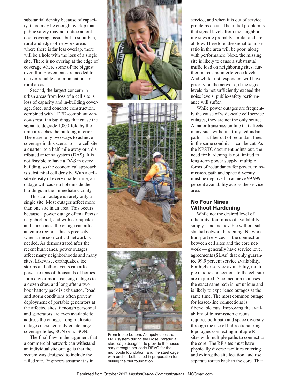substantial density because of capacity, there may be enough overlap that public safety may not notice an outdoor coverage issue, but in suburban, rural and edge-of-network areas where there is far less overlap, there will be a hole with the loss of a single site. There is no overlap at the edge of coverage where some of the biggest overall improvements are needed to deliver reliable communications in rural areas.

 Second, the largest concern in urban areas from loss of a cell site is loss of capacity and in-building coverage. Steel and concrete construction, combined with LEED-compliant windows result in buildings that cause the signal to degrade 1,000-fold by the time it reaches the building interior. There are only two ways to achieve coverage in this scenario — a cell site a quarter- to a half-mile away or a distributed antenna system (DAS). It is not feasible to have a DAS in every building, so the economical approach is substantial cell density. With a cellsite density of every quarter mile, an outage will cause a hole inside the buildings in the immediate vicinity.

 Third, an outage is rarely only a single site. Most outages affect more than one site in an area. This occurs because a power outage often affects a neighborhood, and with earthquakes and hurricanes, the outage can affect an entire region. This is precisely when a mission-critical network is needed. As demonstrated after the recent hurricanes, power outages affect many neighborhoods and many sites. Likewise, earthquakes, ice storms and other events can affect power to tens of thousands of homes for a day or more, causing outages to a dozen sites, and long after a twohour battery pack is exhausted. Road and storm conditions often prevent deployment of portable generators at the affected sites if enough personnel and generators are even available to address the outage. Long multisite outages most certainly create large coverage holes, SON or no SON.

 The final flaw in the argument that a commercial network can withstand an individual site outage is that the system was designed to include the failed site. Engineers assume it is in



From top to bottom: A deputy uses the LMR system during the Rose Parade; a steel cage designed to provide the necessary strength per code-REVG for the monopole foundation; and the steel cage with anchor bolts used in preparation for drilling the pier foundation

service, and when it is out of service, problems occur. The initial problem is that signal levels from the neighboring sites are probably similar and are all low. Therefore, the signal to noise ratio in the area will be poor, along with performance. Next, the missing site is likely to cause a substantial traffic load on neighboring sites, further increasing interference levels. And while first responders will have priority on the network, if the signal levels do not sufficiently exceed the noise levels, public-safety performance will suffer.

 While power outages are frequently the cause of wide-scale cell service outages, they are not the only source. A major transmission line that affects many sites without a truly redundant path — a fiber cut of redundant lines in the same conduit — can be cut. As the NPSTC document points out, the need for hardening is not limited to long-term power supply; multiple forms of redundancy for power, transmission, path and space diversity must be deployed to achieve 99.999 percent availability across the service area.

#### **No Four Nines Without Hardening**

 While not the desired level of reliability, four nines of availability simply is not achievable without substantial network hardening. Network transport services — the connection between cell sites and the core network — generally have service level agreements (SLAs) that only guarantee 99.9 percent service availability. For higher service availability, multiple unique connections to the cell site are required. A connection that uses the exact same path is not unique and is likely to experience outages at the same time. The most common outage for leased-line connections is fiber/cable cuts. Improving the availability of transmission circuits requires both path and space diversity through the use of bidirectional ring topologies connecting multiple RF sites with multiple paths to connect to the core. The RF sites must have physically diverse facilities entering and exiting the site location, and use separate routes back to the core. That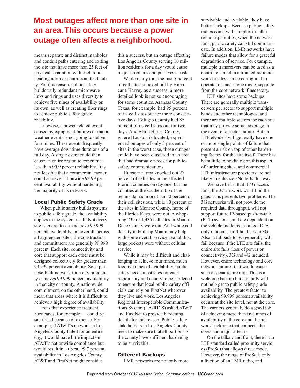### **Most outages affect more than one site in an area. This occurs because a power outage often affects a neighborhood.**

means separate and distinct manholes and conduit paths entering and exiting the site that have more than 25 feet of physical separation with each route heading north or south from the facility. For this reason, public safety builds truly redundant microwave links and rings and uses diversity to achieve five nines of availability on its own, as well as creating fiber rings to achieve public safety grade reliability.

 Likewise, a power-related event caused by equipment failures or major weather events is not going to deliver four nines. These events frequently have average downtime durations of a full day. A single event could then cause an entire region to experience less than 99.9 percent reliability. It is not feasible that a commercial carrier could achieve nationwide 99.99 percent availability without hardening the majority of its network.

#### **Local Public Safety Grade**

 When public safety builds systems to public safety grade, the availability applies to the system itself. Not every site is guaranteed to achieve 99.999 percent availability, but overall, across all aggregated sites, the construction and commitment are generally 99.999 percent. Each site, connectivity and core that support each other must be designed collectively for greater than 99.999 percent availability. So, a purpose-built network for a city or county achieves 99.999 percent availability in that city or county. A nationwide commitment, on the other hand, could mean that areas where it is difficult to achieve a high degree of availability — areas that experience frequent hurricanes, for example — could be sacrificed because of expense. For example, if AT&T's network in Los Angeles County failed for an entire day, it would have little impact on AT&T's nationwide compliance but would result in, at best, 99.7 percent availability in Los Angeles County. AT&T and FirstNet might consider

this a success, but an outage affecting Los Angeles County serving 10 million residents for a day would cause major problems and put lives at risk.

 While many tout the just 5 percent of cell sites knocked out by Hurricane Harvey as a success, a more detailed look is not so encouraging for some counties. Aransas County, Texas, for example, had 95 percent of its cell sites out for three consecutive days. Refugio County had 85 percent of its cell sites out for two days. And while Harris County, where Houston is located, experienced outages of only 5 percent of sites in the worst case, those outages could have been clustered in an area that had dramatic needs for publicsafety communications.

 Hurricane Irma knocked out 27 percent of cell sites in the affected Florida counties on day one, but the counties at the southern tip of the peninsula had more than 50 percent of their cell sites out, while 80 percent of the sites in Monroe County, home of the Florida Keys, were out. A whopping 739 of 1,435 cell sites in Miami-Dade County were out. And while cell density in built-up Miami may help with some overall service availability, large pockets were without cellular service.

 While it may be difficult and challenging to achieve four nines, much less five nines of availability, public safety needs most sites for each region, city and county to be hardened to ensure that local public-safety officials can rely on FirstNet wherever they live and work. Los Angeles Regional Interoperable Communications System (LA-RICS) asked AT&T and FirstNet to provide hardening details for this reason. Public-safety stakeholders in Los Angeles County need to make sure that all portions of the county have sufficient hardening to be survivable.

#### **Different Backups**

LMR networks are not only more

survivable and available, they have better backups. Because public-safety radios come with simplex or talkaround capabilities, when the network fails, public safety can still communicate. In addition, LMR networks have failure modes that allow for a graceful degradation of service. For example, multiple transceivers can be used as a control channel in a trunked radio network or sites can be configured to operate in stand-alone mode, separate from the core network if necessary.

 LTE sites have some backups. There are generally multiple transceivers per sector to support multiple bands and other technologies, and there are multiple sectors for each site that may provide some coverage in the event of a sector failure. But an LTE eNodeB will generally have one or more single points of failure that present a risk on top of other hardening factors for the site itself. There has been little to no dialog on this aspect of hardening sites, and commercial LTE infrastructure providers are not likely to enhance eNodeBs this way.

 We have heard that if 4G access fails, the 3G network will fill in the gaps. This presents two problems. The 3G networks will not provide the required data throughput, will not support future IP-based push-to-talk (PTT) systems, and are dependent on the vehicle modems installed. LTEonly modems can't fall back to 3G. Also, a fallback to 3G generally will fail because if the LTE site fails, the entire site fails (loss of power or connectivity), 3G and 4G included. However, entire technology and core network failures that would cause such a scenario are rare. This is a welcome backup but certainly will not help get to public safety grade availability. The greatest factor to achieving 99.999 percent availability occurs at the site level, not at the core. The carriers generally do a good job of achieving more than five nines of availability at the core and the network backbone that connects the cores and major arteries.

 On the talkaround front, there is an LTE standard called proximity services (ProSe) that allows direct mode. However, the range of ProSe is only a fraction of an LMR radio, and